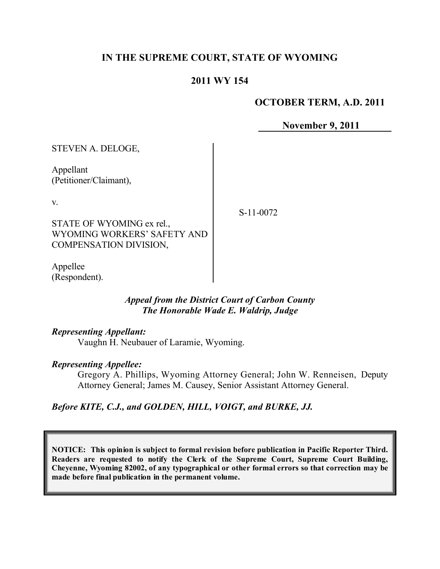# **IN THE SUPREME COURT, STATE OF WYOMING**

## **2011 WY 154**

### **OCTOBER TERM, A.D. 2011**

**November 9, 2011**

STEVEN A. DELOGE,

Appellant (Petitioner/Claimant),

v.

STATE OF WYOMING ex rel., WYOMING WORKERS' SAFETY AND COMPENSATION DIVISION,

Appellee (Respondent).

### *Appeal from the District Court of Carbon County The Honorable Wade E. Waldrip, Judge*

### *Representing Appellant:*

Vaughn H. Neubauer of Laramie, Wyoming.

### *Representing Appellee:*

Gregory A. Phillips, Wyoming Attorney General; John W. Renneisen, Deputy Attorney General; James M. Causey, Senior Assistant Attorney General.

*Before KITE, C.J., and GOLDEN, HILL, VOIGT, and BURKE, JJ.*

**NOTICE: This opinion is subject to formal revision before publication in Pacific Reporter Third. Readers are requested to notify the Clerk of the Supreme Court, Supreme Court Building, Cheyenne, Wyoming 82002, of any typographical or other formal errors so that correction may be made before final publication in the permanent volume.**

S-11-0072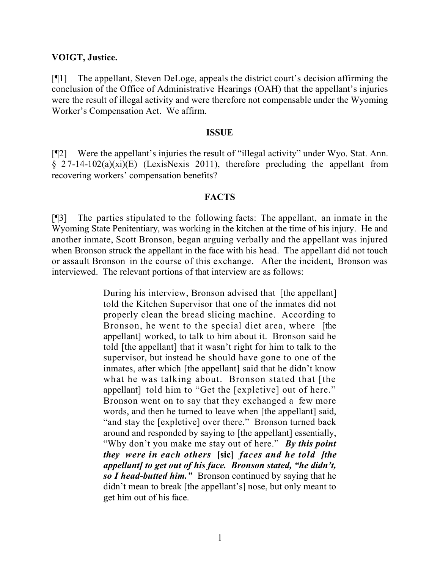#### **VOIGT, Justice.**

[¶1] The appellant, Steven DeLoge, appeals the district court's decision affirming the conclusion of the Office of Administrative Hearings (OAH) that the appellant's injuries were the result of illegal activity and were therefore not compensable under the Wyoming Worker's Compensation Act. We affirm.

#### **ISSUE**

[¶2] Were the appellant's injuries the result of "illegal activity" under Wyo. Stat. Ann.  $\S$  27-14-102(a)(xi)(E) (LexisNexis 2011), therefore precluding the appellant from recovering workers' compensation benefits?

### **FACTS**

[¶3] The parties stipulated to the following facts: The appellant, an inmate in the Wyoming State Penitentiary, was working in the kitchen at the time of his injury. He and another inmate, Scott Bronson, began arguing verbally and the appellant was injured when Bronson struck the appellant in the face with his head. The appellant did not touch or assault Bronson in the course of this exchange. After the incident, Bronson was interviewed. The relevant portions of that interview are as follows:

> During his interview, Bronson advised that [the appellant] told the Kitchen Supervisor that one of the inmates did not properly clean the bread slicing machine. According to Bronson, he went to the special diet area, where [the appellant] worked, to talk to him about it. Bronson said he told [the appellant] that it wasn't right for him to talk to the supervisor, but instead he should have gone to one of the inmates, after which [the appellant] said that he didn't know what he was talking about. Bronson stated that [the appellant] told him to "Get the [expletive] out of here." Bronson went on to say that they exchanged a few more words, and then he turned to leave when [the appellant] said, "and stay the [expletive] over there." Bronson turned back around and responded by saying to [the appellant] essentially, "Why don't you make me stay out of here." *By this point they were in each others* **[sic]** *faces and he told [the appellant] to get out of his face. Bronson stated, "he didn't, so I head-butted him."* Bronson continued by saying that he didn't mean to break [the appellant's] nose, but only meant to get him out of his face.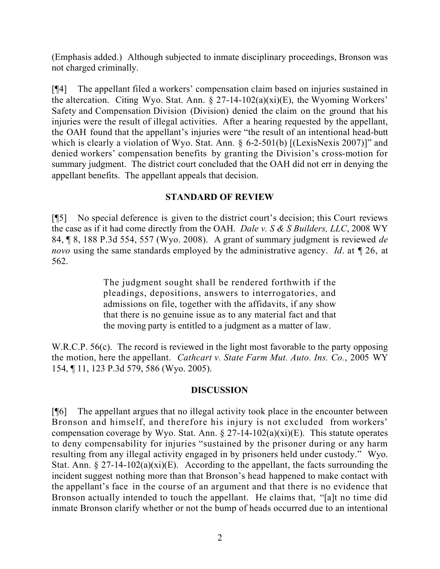(Emphasis added.) Although subjected to inmate disciplinary proceedings, Bronson was not charged criminally.

[¶4] The appellant filed a workers' compensation claim based on injuries sustained in the altercation. Citing Wyo. Stat. Ann.  $\S 27-14-102(a)(xi)(E)$ , the Wyoming Workers' Safety and Compensation Division (Division) denied the claim on the ground that his injuries were the result of illegal activities. After a hearing requested by the appellant, the OAH found that the appellant's injuries were "the result of an intentional head-butt which is clearly a violation of Wyo. Stat. Ann. § 6-2-501(b) [(LexisNexis 2007)]" and denied workers' compensation benefits by granting the Division's cross-motion for summary judgment. The district court concluded that the OAH did not err in denying the appellant benefits. The appellant appeals that decision.

# **STANDARD OF REVIEW**

[¶5] No special deference is given to the district court's decision; this Court reviews the case as if it had come directly from the OAH. *Dale v. S & S Builders, LLC*, 2008 WY 84, ¶ 8, 188 P.3d 554, 557 (Wyo. 2008). A grant of summary judgment is reviewed *de novo* using the same standards employed by the administrative agency. *Id*. at ¶ 26, at 562.

> The judgment sought shall be rendered forthwith if the pleadings, depositions, answers to interrogatories, and admissions on file, together with the affidavits, if any show that there is no genuine issue as to any material fact and that the moving party is entitled to a judgment as a matter of law.

W.R.C.P. 56(c). The record is reviewed in the light most favorable to the party opposing the motion, here the appellant. *Cathcart v. State Farm Mut. Auto. Ins. Co.*, 2005 WY 154, ¶ 11, 123 P.3d 579, 586 (Wyo. 2005).

## **DISCUSSION**

[¶6] The appellant argues that no illegal activity took place in the encounter between Bronson and himself, and therefore his injury is not excluded from workers' compensation coverage by Wyo. Stat. Ann.  $\S 27-14-102(a)(xi)(E)$ . This statute operates to deny compensability for injuries "sustained by the prisoner during or any harm resulting from any illegal activity engaged in by prisoners held under custody." Wyo. Stat. Ann. § 27-14-102(a)(xi)(E). According to the appellant, the facts surrounding the incident suggest nothing more than that Bronson's head happened to make contact with the appellant's face in the course of an argument and that there is no evidence that Bronson actually intended to touch the appellant. He claims that, "[a]t no time did inmate Bronson clarify whether or not the bump of heads occurred due to an intentional